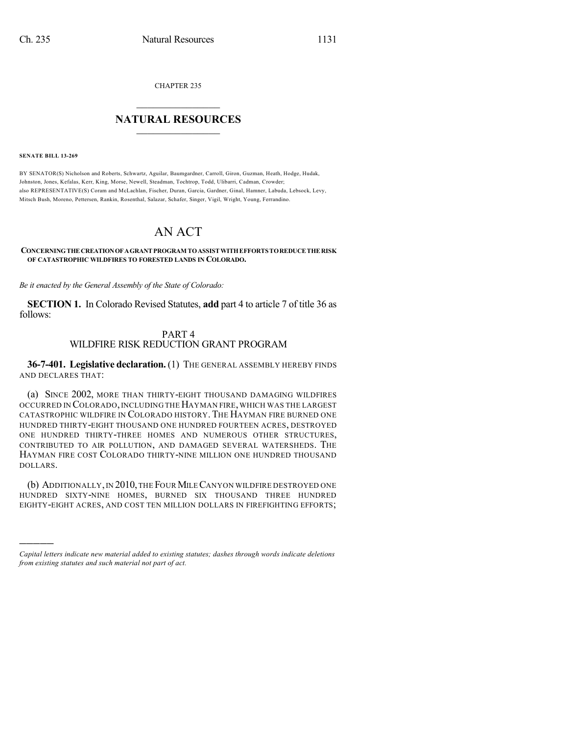CHAPTER 235

## $\mathcal{L}_\text{max}$  . The set of the set of the set of the set of the set of the set of the set of the set of the set of the set of the set of the set of the set of the set of the set of the set of the set of the set of the set **NATURAL RESOURCES**  $\frac{1}{\sqrt{2}}$  , where  $\frac{1}{\sqrt{2}}$  ,  $\frac{1}{\sqrt{2}}$  ,  $\frac{1}{\sqrt{2}}$

**SENATE BILL 13-269**

)))))

BY SENATOR(S) Nicholson and Roberts, Schwartz, Aguilar, Baumgardner, Carroll, Giron, Guzman, Heath, Hodge, Hudak, Johnston, Jones, Kefalas, Kerr, King, Morse, Newell, Steadman, Tochtrop, Todd, Ulibarri, Cadman, Crowder; also REPRESENTATIVE(S) Coram and McLachlan, Fischer, Duran, Garcia, Gardner, Ginal, Hamner, Labuda, Lebsock, Levy, Mitsch Bush, Moreno, Pettersen, Rankin, Rosenthal, Salazar, Schafer, Singer, Vigil, Wright, Young, Ferrandino.

## AN ACT

## **CONCERNINGTHE CREATIONOFAGRANT PROGRAM TOASSISTWITHEFFORTSTOREDUCE THE RISK OF CATASTROPHIC WILDFIRES TO FORESTED LANDS IN COLORADO.**

*Be it enacted by the General Assembly of the State of Colorado:*

**SECTION 1.** In Colorado Revised Statutes, **add** part 4 to article 7 of title 36 as follows:

## PART 4 WILDFIRE RISK REDUCTION GRANT PROGRAM

**36-7-401. Legislative declaration.** (1) THE GENERAL ASSEMBLY HEREBY FINDS AND DECLARES THAT:

(a) SINCE 2002, MORE THAN THIRTY-EIGHT THOUSAND DAMAGING WILDFIRES OCCURRED IN COLORADO, INCLUDING THE HAYMAN FIRE, WHICH WAS THE LARGEST CATASTROPHIC WILDFIRE IN COLORADO HISTORY.THE HAYMAN FIRE BURNED ONE HUNDRED THIRTY-EIGHT THOUSAND ONE HUNDRED FOURTEEN ACRES, DESTROYED ONE HUNDRED THIRTY-THREE HOMES AND NUMEROUS OTHER STRUCTURES, CONTRIBUTED TO AIR POLLUTION, AND DAMAGED SEVERAL WATERSHEDS. THE HAYMAN FIRE COST COLORADO THIRTY-NINE MILLION ONE HUNDRED THOUSAND DOLLARS.

(b) ADDITIONALLY, IN 2010, THE FOUR MILE CANYON WILDFIRE DESTROYED ONE HUNDRED SIXTY-NINE HOMES, BURNED SIX THOUSAND THREE HUNDRED EIGHTY-EIGHT ACRES, AND COST TEN MILLION DOLLARS IN FIREFIGHTING EFFORTS;

*Capital letters indicate new material added to existing statutes; dashes through words indicate deletions from existing statutes and such material not part of act.*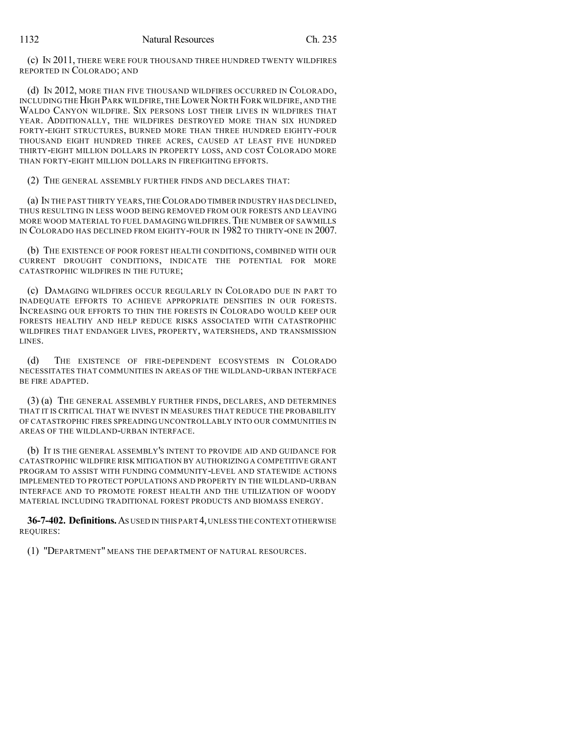(c) IN 2011, THERE WERE FOUR THOUSAND THREE HUNDRED TWENTY WILDFIRES REPORTED IN COLORADO; AND

(d) IN 2012, MORE THAN FIVE THOUSAND WILDFIRES OCCURRED IN COLORADO, INCLUDING THE HIGH PARK WILDFIRE,THE LOWERNORTH FORK WILDFIRE, AND THE WALDO CANYON WILDFIRE. SIX PERSONS LOST THEIR LIVES IN WILDFIRES THAT YEAR. ADDITIONALLY, THE WILDFIRES DESTROYED MORE THAN SIX HUNDRED FORTY-EIGHT STRUCTURES, BURNED MORE THAN THREE HUNDRED EIGHTY-FOUR THOUSAND EIGHT HUNDRED THREE ACRES, CAUSED AT LEAST FIVE HUNDRED THIRTY-EIGHT MILLION DOLLARS IN PROPERTY LOSS, AND COST COLORADO MORE THAN FORTY-EIGHT MILLION DOLLARS IN FIREFIGHTING EFFORTS.

(2) THE GENERAL ASSEMBLY FURTHER FINDS AND DECLARES THAT:

(a) IN THE PAST THIRTY YEARS,THECOLORADO TIMBER INDUSTRY HAS DECLINED, THUS RESULTING IN LESS WOOD BEING REMOVED FROM OUR FORESTS AND LEAVING MORE WOOD MATERIAL TO FUEL DAMAGING WILDFIRES. THE NUMBER OF SAWMILLS IN COLORADO HAS DECLINED FROM EIGHTY-FOUR IN 1982 TO THIRTY-ONE IN 2007.

(b) THE EXISTENCE OF POOR FOREST HEALTH CONDITIONS, COMBINED WITH OUR CURRENT DROUGHT CONDITIONS, INDICATE THE POTENTIAL FOR MORE CATASTROPHIC WILDFIRES IN THE FUTURE;

(c) DAMAGING WILDFIRES OCCUR REGULARLY IN COLORADO DUE IN PART TO INADEQUATE EFFORTS TO ACHIEVE APPROPRIATE DENSITIES IN OUR FORESTS. INCREASING OUR EFFORTS TO THIN THE FORESTS IN COLORADO WOULD KEEP OUR FORESTS HEALTHY AND HELP REDUCE RISKS ASSOCIATED WITH CATASTROPHIC WILDFIRES THAT ENDANGER LIVES, PROPERTY, WATERSHEDS, AND TRANSMISSION LINES.

(d) THE EXISTENCE OF FIRE-DEPENDENT ECOSYSTEMS IN COLORADO NECESSITATES THAT COMMUNITIES IN AREAS OF THE WILDLAND-URBAN INTERFACE BE FIRE ADAPTED.

(3) (a) THE GENERAL ASSEMBLY FURTHER FINDS, DECLARES, AND DETERMINES THAT IT IS CRITICAL THAT WE INVEST IN MEASURES THAT REDUCE THE PROBABILITY OF CATASTROPHIC FIRES SPREADING UNCONTROLLABLY INTO OUR COMMUNITIES IN AREAS OF THE WILDLAND-URBAN INTERFACE.

(b) IT IS THE GENERAL ASSEMBLY'S INTENT TO PROVIDE AID AND GUIDANCE FOR CATASTROPHIC WILDFIRE RISK MITIGATION BY AUTHORIZING A COMPETITIVE GRANT PROGRAM TO ASSIST WITH FUNDING COMMUNITY-LEVEL AND STATEWIDE ACTIONS IMPLEMENTED TO PROTECT POPULATIONS AND PROPERTY IN THE WILDLAND-URBAN INTERFACE AND TO PROMOTE FOREST HEALTH AND THE UTILIZATION OF WOODY MATERIAL INCLUDING TRADITIONAL FOREST PRODUCTS AND BIOMASS ENERGY.

**36-7-402. Definitions.**AS USED IN THIS PART 4,UNLESS THE CONTEXT OTHERWISE REQUIRES:

(1) "DEPARTMENT" MEANS THE DEPARTMENT OF NATURAL RESOURCES.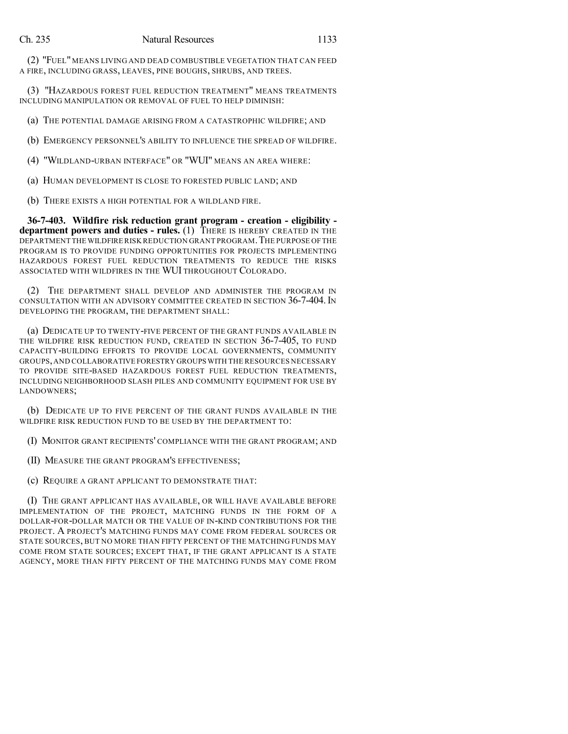(2) "FUEL" MEANS LIVING AND DEAD COMBUSTIBLE VEGETATION THAT CAN FEED A FIRE, INCLUDING GRASS, LEAVES, PINE BOUGHS, SHRUBS, AND TREES.

(3) "HAZARDOUS FOREST FUEL REDUCTION TREATMENT" MEANS TREATMENTS INCLUDING MANIPULATION OR REMOVAL OF FUEL TO HELP DIMINISH:

(a) THE POTENTIAL DAMAGE ARISING FROM A CATASTROPHIC WILDFIRE; AND

(b) EMERGENCY PERSONNEL'S ABILITY TO INFLUENCE THE SPREAD OF WILDFIRE.

(4) "WILDLAND-URBAN INTERFACE" OR "WUI" MEANS AN AREA WHERE:

(a) HUMAN DEVELOPMENT IS CLOSE TO FORESTED PUBLIC LAND; AND

(b) THERE EXISTS A HIGH POTENTIAL FOR A WILDLAND FIRE.

**36-7-403. Wildfire risk reduction grant program - creation - eligibility department powers and duties - rules.** (1) THERE IS HEREBY CREATED IN THE DEPARTMENT THE WILDFIRERISK REDUCTION GRANT PROGRAM.THE PURPOSE OFTHE PROGRAM IS TO PROVIDE FUNDING OPPORTUNITIES FOR PROJECTS IMPLEMENTING HAZARDOUS FOREST FUEL REDUCTION TREATMENTS TO REDUCE THE RISKS ASSOCIATED WITH WILDFIRES IN THE WUI THROUGHOUT COLORADO.

(2) THE DEPARTMENT SHALL DEVELOP AND ADMINISTER THE PROGRAM IN CONSULTATION WITH AN ADVISORY COMMITTEE CREATED IN SECTION 36-7-404.IN DEVELOPING THE PROGRAM, THE DEPARTMENT SHALL:

(a) DEDICATE UP TO TWENTY-FIVE PERCENT OF THE GRANT FUNDS AVAILABLE IN THE WILDFIRE RISK REDUCTION FUND, CREATED IN SECTION 36-7-405, TO FUND CAPACITY-BUILDING EFFORTS TO PROVIDE LOCAL GOVERNMENTS, COMMUNITY GROUPS,AND COLLABORATIVE FORESTRY GROUPS WITH THE RESOURCES NECESSARY TO PROVIDE SITE-BASED HAZARDOUS FOREST FUEL REDUCTION TREATMENTS, INCLUDING NEIGHBORHOOD SLASH PILES AND COMMUNITY EQUIPMENT FOR USE BY LANDOWNERS;

(b) DEDICATE UP TO FIVE PERCENT OF THE GRANT FUNDS AVAILABLE IN THE WILDFIRE RISK REDUCTION FUND TO BE USED BY THE DEPARTMENT TO:

(I) MONITOR GRANT RECIPIENTS' COMPLIANCE WITH THE GRANT PROGRAM; AND

(II) MEASURE THE GRANT PROGRAM'S EFFECTIVENESS;

(c) REQUIRE A GRANT APPLICANT TO DEMONSTRATE THAT:

(I) THE GRANT APPLICANT HAS AVAILABLE, OR WILL HAVE AVAILABLE BEFORE IMPLEMENTATION OF THE PROJECT, MATCHING FUNDS IN THE FORM OF A DOLLAR-FOR-DOLLAR MATCH OR THE VALUE OF IN-KIND CONTRIBUTIONS FOR THE PROJECT. A PROJECT'S MATCHING FUNDS MAY COME FROM FEDERAL SOURCES OR STATE SOURCES, BUT NO MORE THAN FIFTY PERCENT OF THE MATCHING FUNDS MAY COME FROM STATE SOURCES; EXCEPT THAT, IF THE GRANT APPLICANT IS A STATE AGENCY, MORE THAN FIFTY PERCENT OF THE MATCHING FUNDS MAY COME FROM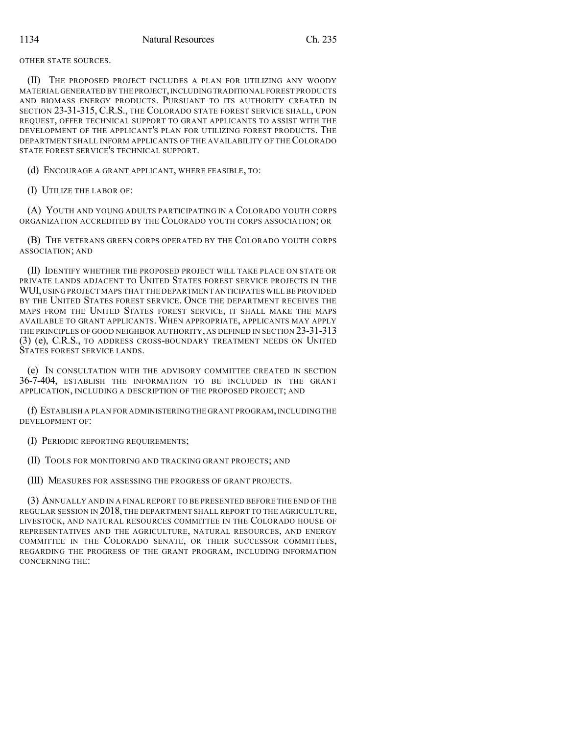OTHER STATE SOURCES.

(II) THE PROPOSED PROJECT INCLUDES A PLAN FOR UTILIZING ANY WOODY MATERIAL GENERATED BY THE PROJECT,INCLUDINGTRADITIONAL FOREST PRODUCTS AND BIOMASS ENERGY PRODUCTS. PURSUANT TO ITS AUTHORITY CREATED IN SECTION 23-31-315, C.R.S., THE COLORADO STATE FOREST SERVICE SHALL, UPON REQUEST, OFFER TECHNICAL SUPPORT TO GRANT APPLICANTS TO ASSIST WITH THE DEVELOPMENT OF THE APPLICANT'S PLAN FOR UTILIZING FOREST PRODUCTS. THE DEPARTMENT SHALL INFORM APPLICANTS OF THE AVAILABILITY OF THE COLORADO STATE FOREST SERVICE'S TECHNICAL SUPPORT.

(d) ENCOURAGE A GRANT APPLICANT, WHERE FEASIBLE, TO:

(I) UTILIZE THE LABOR OF:

(A) YOUTH AND YOUNG ADULTS PARTICIPATING IN A COLORADO YOUTH CORPS ORGANIZATION ACCREDITED BY THE COLORADO YOUTH CORPS ASSOCIATION; OR

(B) THE VETERANS GREEN CORPS OPERATED BY THE COLORADO YOUTH CORPS ASSOCIATION; AND

(II) IDENTIFY WHETHER THE PROPOSED PROJECT WILL TAKE PLACE ON STATE OR PRIVATE LANDS ADJACENT TO UNITED STATES FOREST SERVICE PROJECTS IN THE WUI, USING PROJECT MAPS THAT THE DEPARTMENT ANTICIPATES WILL BE PROVIDED BY THE UNITED STATES FOREST SERVICE. ONCE THE DEPARTMENT RECEIVES THE MAPS FROM THE UNITED STATES FOREST SERVICE, IT SHALL MAKE THE MAPS AVAILABLE TO GRANT APPLICANTS. WHEN APPROPRIATE, APPLICANTS MAY APPLY THE PRINCIPLES OF GOOD NEIGHBOR AUTHORITY, AS DEFINED IN SECTION 23-31-313 (3) (e), C.R.S., TO ADDRESS CROSS-BOUNDARY TREATMENT NEEDS ON UNITED STATES FOREST SERVICE LANDS.

(e) IN CONSULTATION WITH THE ADVISORY COMMITTEE CREATED IN SECTION 36-7-404, ESTABLISH THE INFORMATION TO BE INCLUDED IN THE GRANT APPLICATION, INCLUDING A DESCRIPTION OF THE PROPOSED PROJECT; AND

(f) ESTABLISH A PLAN FOR ADMINISTERING THE GRANT PROGRAM,INCLUDING THE DEVELOPMENT OF:

(I) PERIODIC REPORTING REQUIREMENTS;

(II) TOOLS FOR MONITORING AND TRACKING GRANT PROJECTS; AND

(III) MEASURES FOR ASSESSING THE PROGRESS OF GRANT PROJECTS.

(3) ANNUALLY AND IN A FINAL REPORT TO BE PRESENTED BEFORE THE END OF THE REGULAR SESSION IN 2018, THE DEPARTMENT SHALL REPORT TO THE AGRICULTURE, LIVESTOCK, AND NATURAL RESOURCES COMMITTEE IN THE COLORADO HOUSE OF REPRESENTATIVES AND THE AGRICULTURE, NATURAL RESOURCES, AND ENERGY COMMITTEE IN THE COLORADO SENATE, OR THEIR SUCCESSOR COMMITTEES, REGARDING THE PROGRESS OF THE GRANT PROGRAM, INCLUDING INFORMATION CONCERNING THE: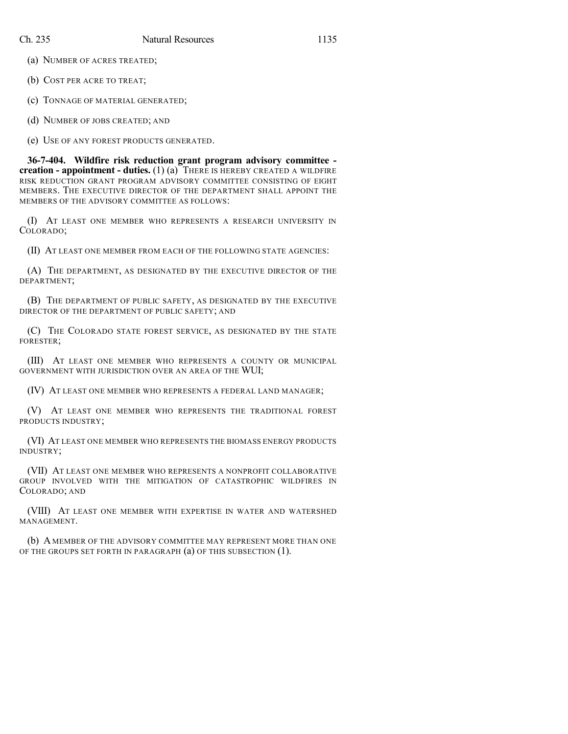(a) NUMBER OF ACRES TREATED;

(b) COST PER ACRE TO TREAT;

(c) TONNAGE OF MATERIAL GENERATED;

(d) NUMBER OF JOBS CREATED; AND

(e) USE OF ANY FOREST PRODUCTS GENERATED.

**36-7-404. Wildfire risk reduction grant program advisory committee creation - appointment - duties.** (1) (a) THERE IS HEREBY CREATED A WILDFIRE RISK REDUCTION GRANT PROGRAM ADVISORY COMMITTEE CONSISTING OF EIGHT MEMBERS. THE EXECUTIVE DIRECTOR OF THE DEPARTMENT SHALL APPOINT THE MEMBERS OF THE ADVISORY COMMITTEE AS FOLLOWS:

(I) AT LEAST ONE MEMBER WHO REPRESENTS A RESEARCH UNIVERSITY IN COLORADO;

(II) AT LEAST ONE MEMBER FROM EACH OF THE FOLLOWING STATE AGENCIES:

(A) THE DEPARTMENT, AS DESIGNATED BY THE EXECUTIVE DIRECTOR OF THE DEPARTMENT;

(B) THE DEPARTMENT OF PUBLIC SAFETY, AS DESIGNATED BY THE EXECUTIVE DIRECTOR OF THE DEPARTMENT OF PUBLIC SAFETY; AND

(C) THE COLORADO STATE FOREST SERVICE, AS DESIGNATED BY THE STATE FORESTER;

(III) AT LEAST ONE MEMBER WHO REPRESENTS A COUNTY OR MUNICIPAL GOVERNMENT WITH JURISDICTION OVER AN AREA OF THE WUI;

(IV) AT LEAST ONE MEMBER WHO REPRESENTS A FEDERAL LAND MANAGER;

(V) AT LEAST ONE MEMBER WHO REPRESENTS THE TRADITIONAL FOREST PRODUCTS INDUSTRY;

(VI) AT LEAST ONE MEMBER WHO REPRESENTS THE BIOMASS ENERGY PRODUCTS INDUSTRY;

(VII) AT LEAST ONE MEMBER WHO REPRESENTS A NONPROFIT COLLABORATIVE GROUP INVOLVED WITH THE MITIGATION OF CATASTROPHIC WILDFIRES IN COLORADO; AND

(VIII) AT LEAST ONE MEMBER WITH EXPERTISE IN WATER AND WATERSHED MANAGEMENT.

(b) A MEMBER OF THE ADVISORY COMMITTEE MAY REPRESENT MORE THAN ONE OF THE GROUPS SET FORTH IN PARAGRAPH (a) OF THIS SUBSECTION (1).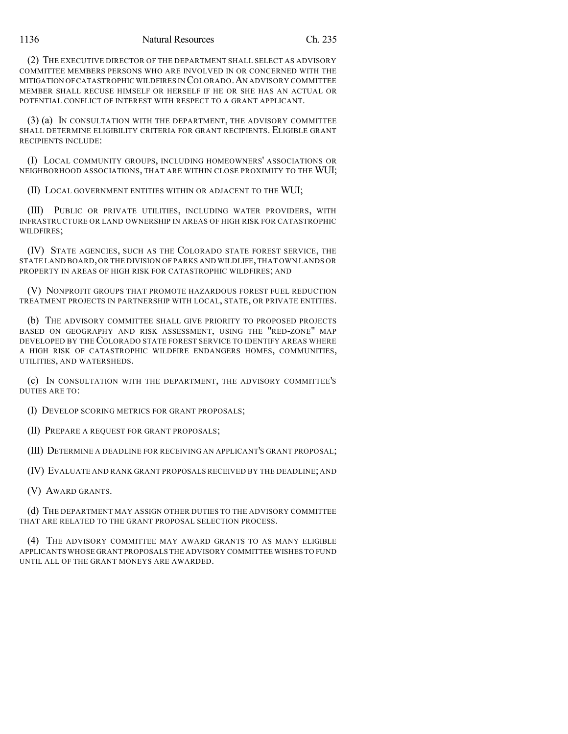(2) THE EXECUTIVE DIRECTOR OF THE DEPARTMENT SHALL SELECT AS ADVISORY COMMITTEE MEMBERS PERSONS WHO ARE INVOLVED IN OR CONCERNED WITH THE MITIGATION OFCATASTROPHIC WILDFIRES IN COLORADO.AN ADVISORY COMMITTEE MEMBER SHALL RECUSE HIMSELF OR HERSELF IF HE OR SHE HAS AN ACTUAL OR POTENTIAL CONFLICT OF INTEREST WITH RESPECT TO A GRANT APPLICANT.

(3) (a) IN CONSULTATION WITH THE DEPARTMENT, THE ADVISORY COMMITTEE SHALL DETERMINE ELIGIBILITY CRITERIA FOR GRANT RECIPIENTS. ELIGIBLE GRANT RECIPIENTS INCLUDE:

(I) LOCAL COMMUNITY GROUPS, INCLUDING HOMEOWNERS' ASSOCIATIONS OR NEIGHBORHOOD ASSOCIATIONS, THAT ARE WITHIN CLOSE PROXIMITY TO THE WUI;

(II) LOCAL GOVERNMENT ENTITIES WITHIN OR ADJACENT TO THE WUI;

(III) PUBLIC OR PRIVATE UTILITIES, INCLUDING WATER PROVIDERS, WITH INFRASTRUCTURE OR LAND OWNERSHIP IN AREAS OF HIGH RISK FOR CATASTROPHIC WILDFIRES;

(IV) STATE AGENCIES, SUCH AS THE COLORADO STATE FOREST SERVICE, THE STATE LAND BOARD,OR THE DIVISION OF PARKS AND WILDLIFE,THAT OWN LANDS OR PROPERTY IN AREAS OF HIGH RISK FOR CATASTROPHIC WILDFIRES; AND

(V) NONPROFIT GROUPS THAT PROMOTE HAZARDOUS FOREST FUEL REDUCTION TREATMENT PROJECTS IN PARTNERSHIP WITH LOCAL, STATE, OR PRIVATE ENTITIES.

(b) THE ADVISORY COMMITTEE SHALL GIVE PRIORITY TO PROPOSED PROJECTS BASED ON GEOGRAPHY AND RISK ASSESSMENT, USING THE "RED-ZONE" MAP DEVELOPED BY THE COLORADO STATE FOREST SERVICE TO IDENTIFY AREAS WHERE A HIGH RISK OF CATASTROPHIC WILDFIRE ENDANGERS HOMES, COMMUNITIES, UTILITIES, AND WATERSHEDS.

(c) IN CONSULTATION WITH THE DEPARTMENT, THE ADVISORY COMMITTEE'S DUTIES ARE TO:

(I) DEVELOP SCORING METRICS FOR GRANT PROPOSALS;

(II) PREPARE A REQUEST FOR GRANT PROPOSALS;

(III) DETERMINE A DEADLINE FOR RECEIVING AN APPLICANT'S GRANT PROPOSAL;

(IV) EVALUATE AND RANK GRANT PROPOSALS RECEIVED BY THE DEADLINE; AND

(V) AWARD GRANTS.

(d) THE DEPARTMENT MAY ASSIGN OTHER DUTIES TO THE ADVISORY COMMITTEE THAT ARE RELATED TO THE GRANT PROPOSAL SELECTION PROCESS.

(4) THE ADVISORY COMMITTEE MAY AWARD GRANTS TO AS MANY ELIGIBLE APPLICANTS WHOSE GRANT PROPOSALS THE ADVISORY COMMITTEE WISHES TO FUND UNTIL ALL OF THE GRANT MONEYS ARE AWARDED.